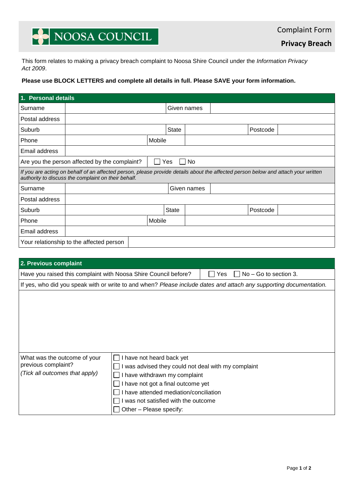# NOOSA COUNCIL

**Privacy Breach**

This form relates to making a privacy breach complaint to Noosa Shire Council under the *Information Privacy Act 2009*.

### **Please use BLOCK LETTERS and complete all details in full. Please SAVE your form information.**

| 1. Personal details                                                                                                                                                                      |  |  |              |             |  |          |  |  |  |
|------------------------------------------------------------------------------------------------------------------------------------------------------------------------------------------|--|--|--------------|-------------|--|----------|--|--|--|
| Surname                                                                                                                                                                                  |  |  |              | Given names |  |          |  |  |  |
| Postal address                                                                                                                                                                           |  |  |              |             |  |          |  |  |  |
| Suburb                                                                                                                                                                                   |  |  | <b>State</b> |             |  | Postcode |  |  |  |
| Phone                                                                                                                                                                                    |  |  | Mobile       |             |  |          |  |  |  |
| Email address                                                                                                                                                                            |  |  |              |             |  |          |  |  |  |
| Are you the person affected by the complaint?<br>No<br>Yes                                                                                                                               |  |  |              |             |  |          |  |  |  |
| If you are acting on behalf of an affected person, please provide details about the affected person below and attach your written<br>authority to discuss the complaint on their behalf. |  |  |              |             |  |          |  |  |  |
| Surname                                                                                                                                                                                  |  |  |              | Given names |  |          |  |  |  |
| Postal address                                                                                                                                                                           |  |  |              |             |  |          |  |  |  |
| Suburb                                                                                                                                                                                   |  |  | State        |             |  | Postcode |  |  |  |
| Phone                                                                                                                                                                                    |  |  | Mobile       |             |  |          |  |  |  |
| Email address                                                                                                                                                                            |  |  |              |             |  |          |  |  |  |
| Your relationship to the affected person                                                                                                                                                 |  |  |              |             |  |          |  |  |  |

| 2. Previous complaint                                                                                              |                                                     |  |  |  |  |  |  |  |
|--------------------------------------------------------------------------------------------------------------------|-----------------------------------------------------|--|--|--|--|--|--|--|
| $No - Go$ to section 3.<br>Have you raised this complaint with Noosa Shire Council before?<br><b>Yes</b>           |                                                     |  |  |  |  |  |  |  |
| If yes, who did you speak with or write to and when? Please include dates and attach any supporting documentation. |                                                     |  |  |  |  |  |  |  |
| What was the outcome of your                                                                                       | I have not heard back yet                           |  |  |  |  |  |  |  |
| previous complaint?                                                                                                | I was advised they could not deal with my complaint |  |  |  |  |  |  |  |
| (Tick all outcomes that apply)                                                                                     | I have withdrawn my complaint                       |  |  |  |  |  |  |  |
|                                                                                                                    | I have not got a final outcome yet                  |  |  |  |  |  |  |  |
|                                                                                                                    | I have attended mediation/conciliation              |  |  |  |  |  |  |  |
|                                                                                                                    | I was not satisfied with the outcome                |  |  |  |  |  |  |  |
|                                                                                                                    | Other - Please specify:                             |  |  |  |  |  |  |  |